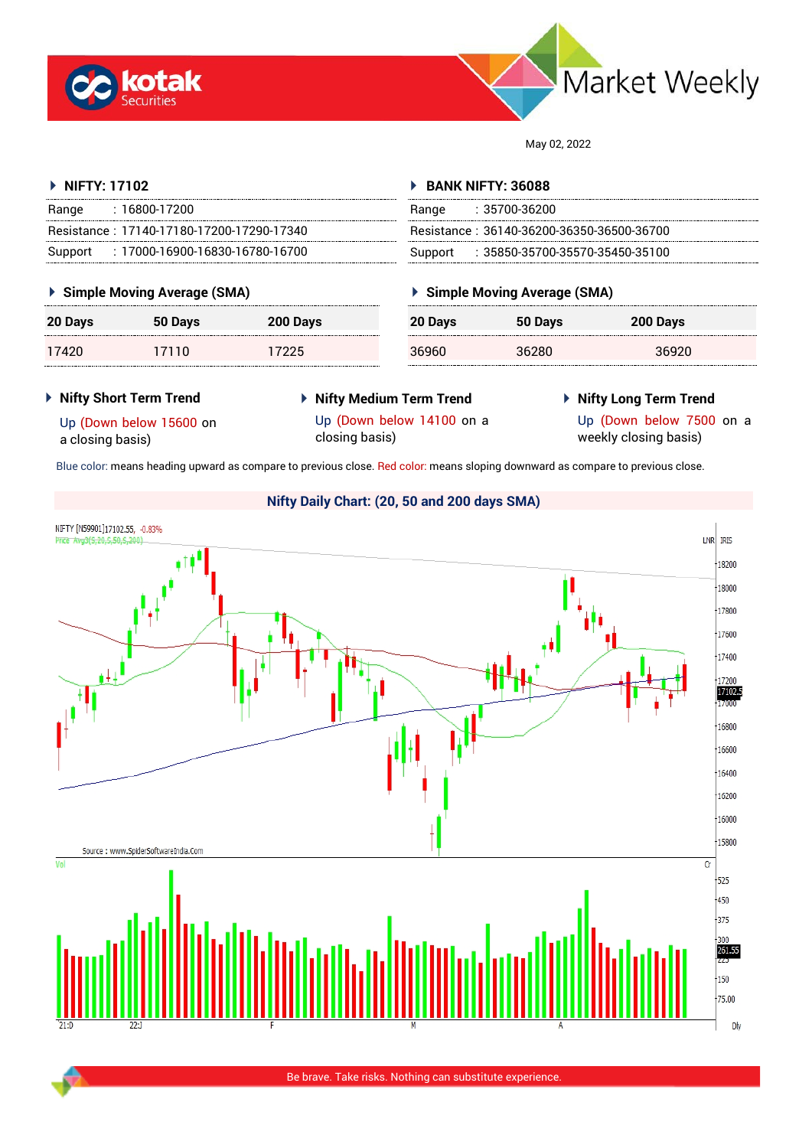



May 02, 2022

#### **NIFTY: 17102** Range : 16800-17200 Resistance : 17140-17180-17200-17290-17340 Support : 17000-16900-16830-16780-16700 **BANK NIFTY: 36088** Range : 35700-36200 Resistance : 36140-36200-36350-36500-36700 Support : 35850-35700-35570-35450-35100

### **Simple Moving Average (SMA)**

| 20 Days | 50 Days | 200 Days |
|---------|---------|----------|
| 17420   | 17110   | 17225    |

## **Simple Moving Average (SMA)**

| 20 Days | 50 Days | 200 Days |  |
|---------|---------|----------|--|
| 36960   | 36280   | 36920    |  |

#### **Nifty Short Term Trend**

- **Nifty Medium Term Trend**
- **Nifty Long Term Trend**

Up (Down below 15600 on a closing basis)

- Up (Down below 14100 on a closing basis)
- Up (Down below 7500 on a
	- weekly closing basis)

Blue color: means heading upward as compare to previous close. Red color: means sloping downward as compare to previous close.

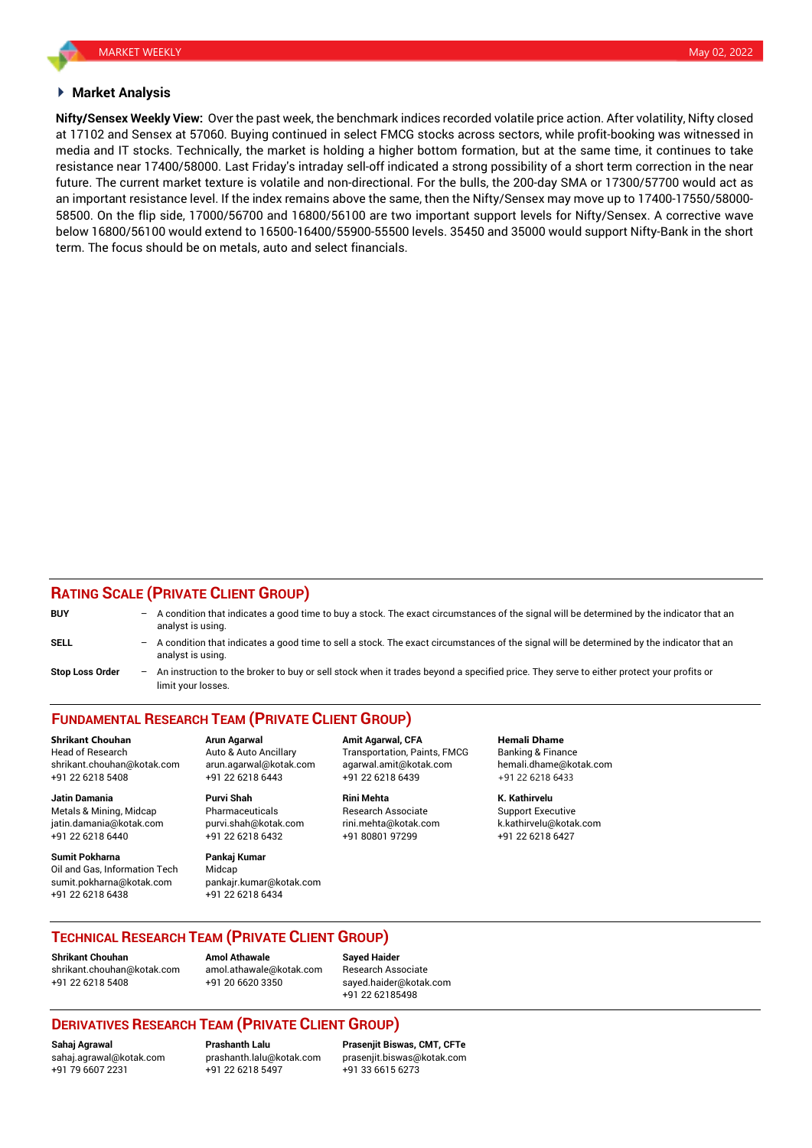#### **Market Analysis**

**Nifty/Sensex Weekly View:** Over the past week, the benchmark indices recorded volatile price action. After volatility, Nifty closed at 17102 and Sensex at 57060. Buying continued in select FMCG stocks across sectors, while profit-booking was witnessed in media and IT stocks. Technically, the market is holding a higher bottom formation, but at the same time, it continues to take resistance near 17400/58000. Last Friday's intraday sell-off indicated a strong possibility of a short term correction in the near future. The current market texture is volatile and non-directional. For the bulls, the 200-day SMA or 17300/57700 would act as an important resistance level. If the index remains above the same, then the Nifty/Sensex may move up to 17400-17550/58000- 58500. On the flip side, 17000/56700 and 16800/56100 are two important support levels for Nifty/Sensex. A corrective wave below 16800/56100 would extend to 16500-16400/55900-55500 levels. 35450 and 35000 would support Nifty-Bank in the short term. The focus should be on metals, auto and select financials.

### **RATING SCALE (PRIVATE CLIENT GROUP)**

| <b>BUY</b>             | $\qquad \qquad -$        | A condition that indicates a good time to buy a stock. The exact circumstances of the signal will be determined by the indicator that an<br>analyst is using.  |
|------------------------|--------------------------|----------------------------------------------------------------------------------------------------------------------------------------------------------------|
| <b>SELL</b>            | $\qquad \qquad -$        | A condition that indicates a good time to sell a stock. The exact circumstances of the signal will be determined by the indicator that an<br>analyst is using. |
| <b>Stop Loss Order</b> | $\overline{\phantom{0}}$ | An instruction to the broker to buy or sell stock when it trades beyond a specified price. They serve to either protect your profits or<br>limit your losses.  |

# **FUNDAMENTAL RESEARCH TEAM (PRIVATE CLIENT GROUP)**

Head of Research **Auto & Auto Ancillary** Transportation, Paints, FMCG Banking & Finance shrikant.chouhan@kotak.com arun.agarwal@kotak.com [agarwal.amit@kotak.com](mailto:agarwal.amit@kotak.com) hemali.dhame@kotak.com +91 22 6218 5408 +91 22 6218 6443 +91 22 6218 6439 +91 22 6218 6433

Metals & Mining, Midcap **Pharmaceuticals** Research Associate Support Executive Research Associate jatin.damania@kotak.com [purvi.shah@kotak.com](mailto:purvi.shah@kotak.com) rini.mehta@kotak.com [k.kathirvelu@kotak.com](mailto:k.kathirvelu@kotak.com) +91 22 6218 6440 +91 22 6218 6432 +91 80801 97299 +91 22 6218 6427

**Sumit Pokharna** Pankaj Kumar Oil and Gas, Information Tech Midcap sumit.pokharna@kotak.com pankajr.kumar@kotak.com +91 22 6218 6438 +91 22 6218 6434

**Jatin Damania Purvi Shah Rini Mehta K. Kathirvelu**

**Shrikant Chouhan Arun Agarwal Amit Agarwal, CFA Hemali Dhame**

# **TECHNICAL RESEARCH TEAM (PRIVATE CLIENT GROUP)**

**Shrikant Chouhan Amol Athawale Sayed Haider** [shrikant.chouhan@kotak.com](mailto:shrikant.chouhan@kotak.com) [amol.athawale@kotak.com](mailto:amol.athawale@kotak.com) Research Associate +91 22 6218 5408 +91 20 6620 3350 [sayed.haider@kotak.com](mailto:sayed.haider@kotak.com)

+91 22 62185498

# **DERIVATIVES RESEARCH TEAM (PRIVATE CLIENT GROUP)**

+91 79 6607 2231 +91 22 6218 5497 +91 33 6615 6273

**Sahaj Agrawal Prashanth Lalu Prasenjit Biswas, CMT, CFTe** [sahaj.agrawal@kotak.com](mailto:sahaj.agrawal@kotak.com) [prashanth.lalu@kotak.com](mailto:prashanth.lalu@kotak.com) [prasenjit.biswas@kotak.com](mailto:prasenjit.biswas@kotak.com)